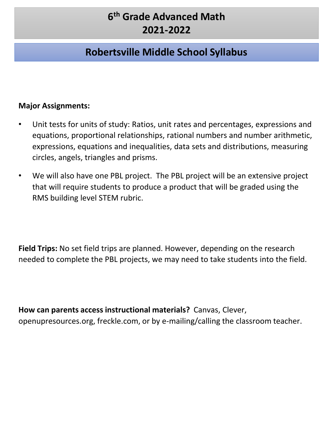# **Robertsville Middle School Syllabus**

#### **Major Assignments:**

- Unit tests for units of study: Ratios, unit rates and percentages, expressions and equations, proportional relationships, rational numbers and number arithmetic, expressions, equations and inequalities, data sets and distributions, measuring circles, angels, triangles and prisms.
- We will also have one PBL project. The PBL project will be an extensive project that will require students to produce a product that will be graded using the RMS building level STEM rubric.

**Field Trips:** No set field trips are planned. However, depending on the research needed to complete the PBL projects, we may need to take students into the field.

**How can parents access instructional materials?** Canvas, Clever, openupresources.org, freckle.com, or by e-mailing/calling the classroom teacher.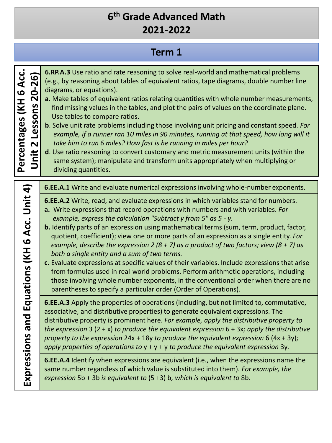#### **Term 1**

| 26<br>Lessons 20-<br>Percentages (KH | 6.RP.A.3 Use ratio and rate reaso<br>(e.g., by reasoning about tables o<br>diagrams, or equations).<br>a. Make tables of equivalent ration<br>find missing values in the table<br>Use tables to compare ratios.<br><b>b.</b> Solve unit rate problems includ<br>example, if a runner ran 10 mi<br>take him to run 6 miles? How j<br>d. Use ratio reasoning to convert<br>same system); manipulate and<br>dividing quantities. |
|--------------------------------------|-------------------------------------------------------------------------------------------------------------------------------------------------------------------------------------------------------------------------------------------------------------------------------------------------------------------------------------------------------------------------------------------------------------------------------|
| $\boldsymbol{A}$                     | <b>6.EE.A.1</b> Write and evaluate num                                                                                                                                                                                                                                                                                                                                                                                        |
| Equations (KH 6 Acc. Unit            | 6.EE.A.2 Write, read, and evaluat<br>a. Write expressions that record<br>example, express the calculation<br><b>b.</b> Identify parts of an expression<br>quotient, coefficient); view one<br>example, describe the expressic<br>both a single entity and a sum<br>c. Evaluate expressions at specific<br>from formulas used in real-wor<br>those involving whole number<br>parentheses to specify a partic                   |
| Expressions and                      | 6.EE.A.3 Apply the properties of<br>associative, and distributive prop<br>distributive property is prominen<br>the expression $3(2 + x)$ to produc<br>property to the expression 24x + 1<br>apply properties of operations to                                                                                                                                                                                                 |
|                                      | 6.EE.A.4 Identify when expressio<br>same number regardless of which<br>expression 5b + 3b is equivalent t                                                                                                                                                                                                                                                                                                                     |

hing to solve real-world and mathematical problems of equivalent ratios, tape diagrams, double number line

- a. *a. <b>a.* a. *a. a. a. a. <i>a. a. a.i. a. with whole number measurements,* s, and plot the pairs of values on the coordinate plane.
- **b**. Solve unit rate problems including those involving unit pricing and constant speed*. For*  les in 90 minutes, running at that speed, how long will it fast is he running in miles per hour?

customary and metric measurement units (within the I transform units appropriately when multiplying or

**erical expressions involving whole-number exponents.** 

- **E** expressions in which variables stand for numbers.
- **a. a.**   $\alpha$  **a.**  $\alpha$  **a.**  $\alpha$  *Drighters* and with variables. *For example, express the calculation "Subtract y from 5" as 5 - y.*
- using mathematical terms (sum, term, product, factor, e or more parts of an expression as a single entity. *For example, describe the expression 2 (8 + 7) as a product of two factors; view (8 + 7) as both a single entity and a sum of two terms.*
- c values of their variables. Include expressions that arise Id problems. Perform arithmetic operations, including exponents, in the conventional order when there are no ular order (Order of Operations).

**6.** operations (including, but not limited to, commutative, erties) to generate equivalent expressions. The t here. For example, apply the distributive property to *the expression* 3 (2 + x) *to produce the equivalent expression* 6 + 3x*; apply the distributive property to the expression* 24x + 18y *to produce the equivalent expression* 6 (4x + 3y)*; apply properties of operations to* y + y + y *to produce the equivalent expression* 3y*.*

ns are equivalent (i.e., when the expressions name the n value is substituted into them). *For example, the expression* 5b + 3b *is equivalent to* (5 +3) b*, which is equivalent to* 8b*.*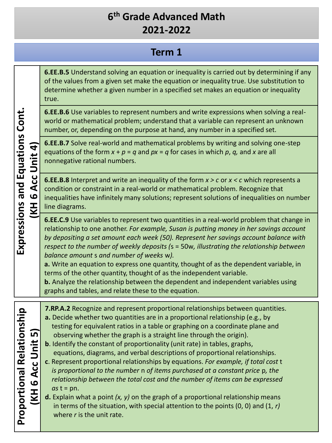# **Term 1**

|                                                                                              | 6.EE.B.5 Understand solving an equation or inequality is carried out by determining if any<br>of the values from a given set make the equation or inequality true. Use substitution to<br>determine whether a given number in a specified set makes an equation or inequality<br>true.                                                                                                                                                                                                                                                                                                                                                                                                                                                                                                                                                                                                                                                                                                    |
|----------------------------------------------------------------------------------------------|-------------------------------------------------------------------------------------------------------------------------------------------------------------------------------------------------------------------------------------------------------------------------------------------------------------------------------------------------------------------------------------------------------------------------------------------------------------------------------------------------------------------------------------------------------------------------------------------------------------------------------------------------------------------------------------------------------------------------------------------------------------------------------------------------------------------------------------------------------------------------------------------------------------------------------------------------------------------------------------------|
|                                                                                              | 6.EE.B.6 Use variables to represent numbers and write expressions when solving a real-<br>world or mathematical problem; understand that a variable can represent an unknown<br>number, or, depending on the purpose at hand, any number in a specified set.                                                                                                                                                                                                                                                                                                                                                                                                                                                                                                                                                                                                                                                                                                                              |
| and Equations Cont.<br>Acc Unit 4                                                            | <b>6.EE.B.7</b> Solve real-world and mathematical problems by writing and solving one-step<br>equations of the form $x + p = q$ and $px = q$ for cases in which p, q, and x are all<br>nonnegative rational numbers.                                                                                                                                                                                                                                                                                                                                                                                                                                                                                                                                                                                                                                                                                                                                                                      |
| $\boldsymbol{\omega}$<br><b>KH</b>                                                           | <b>6.EE.B.8</b> Interpret and write an inequality of the form $x > c$ or $x < c$ which represents a<br>condition or constraint in a real-world or mathematical problem. Recognize that<br>inequalities have infinitely many solutions; represent solutions of inequalities on number<br>line diagrams.                                                                                                                                                                                                                                                                                                                                                                                                                                                                                                                                                                                                                                                                                    |
| Expressions                                                                                  | 6.EE.C.9 Use variables to represent two quantities in a real-world problem that change in<br>relationship to one another. For example, Susan is putting money in her savings account<br>by depositing a set amount each week (50). Represent her savings account balance with<br>respect to the number of weekly deposits (s = 50w, illustrating the relationship between<br>balance amount s and number of weeks w).<br>a. Write an equation to express one quantity, thought of as the dependent variable, in<br>terms of the other quantity, thought of as the independent variable.<br>b. Analyze the relationship between the dependent and independent variables using<br>graphs and tables, and relate these to the equation.                                                                                                                                                                                                                                                      |
| onship<br>ഗ<br>Acc Unit<br><b>Proportional Relati</b><br>$\boldsymbol{\omega}$<br><b>IKH</b> | 7.RP.A.2 Recognize and represent proportional relationships between quantities.<br>a. Decide whether two quantities are in a proportional relationship (e.g., by<br>testing for equivalent ratios in a table or graphing on a coordinate plane and<br>observing whether the graph is a straight line through the origin).<br><b>b.</b> Identify the constant of proportionality (unit rate) in tables, graphs,<br>equations, diagrams, and verbal descriptions of proportional relationships.<br>c. Represent proportional relationships by equations. For example, if total cost t<br>is proportional to the number n of items purchased at a constant price p, the<br>relationship between the total cost and the number of items can be expressed<br>$as t = pn.$<br><b>d.</b> Explain what a point $(x, y)$ on the graph of a proportional relationship means<br>in terms of the situation, with special attention to the points $(0, 0)$ and $(1, r)$<br>where $r$ is the unit rate. |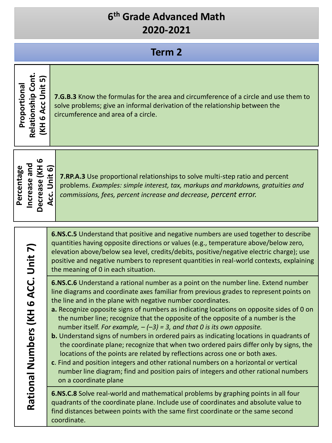| <b>Term 2</b>                                                                                              |                                                                                                                                                                                                                                                                                                                                                                                                                                                                                                                                                                                                                                                                                                                                                                                                                                                                                                                                                                                           |  |
|------------------------------------------------------------------------------------------------------------|-------------------------------------------------------------------------------------------------------------------------------------------------------------------------------------------------------------------------------------------------------------------------------------------------------------------------------------------------------------------------------------------------------------------------------------------------------------------------------------------------------------------------------------------------------------------------------------------------------------------------------------------------------------------------------------------------------------------------------------------------------------------------------------------------------------------------------------------------------------------------------------------------------------------------------------------------------------------------------------------|--|
| <b>Relationship Cont</b><br>$\overline{D}$<br><b>Unit</b><br>Proportional<br>Acc<br>$\bullet$<br><b>KH</b> | 7.G.B.3 Know the formulas for the area and circumference of a circle and use them to<br>solve problems; give an informal derivation of the relationship between the<br>circumference and area of a circle.                                                                                                                                                                                                                                                                                                                                                                                                                                                                                                                                                                                                                                                                                                                                                                                |  |
| Decrease (KH 6<br>Increase and<br>Percentage                                                               | Unit 6)<br>7.RP.A.3 Use proportional relationships to solve multi-step ratio and percent<br>problems. Examples: simple interest, tax, markups and markdowns, gratuities and<br>Acc.<br>commissions, fees, percent increase and decrease, percent error.                                                                                                                                                                                                                                                                                                                                                                                                                                                                                                                                                                                                                                                                                                                                   |  |
|                                                                                                            | <b>6.NS.C.5</b> Understand that positive and negative numbers are used together to describe<br>quantities having opposite directions or values (e.g., temperature above/below zero,<br>elevation above/below sea level, credits/debits, positive/negative electric charge); use<br>positive and negative numbers to represent quantities in real-world contexts, explaining<br>the meaning of 0 in each situation.                                                                                                                                                                                                                                                                                                                                                                                                                                                                                                                                                                        |  |
| 6 ACC. Unit 7)<br>I<br>Rational Numbers (K                                                                 | <b>6.NS.C.6</b> Understand a rational number as a point on the number line. Extend number<br>line diagrams and coordinate axes familiar from previous grades to represent points on<br>the line and in the plane with negative number coordinates.<br>a. Recognize opposite signs of numbers as indicating locations on opposite sides of 0 on<br>the number line; recognize that the opposite of the opposite of a number is the<br>number itself. For example, $-(-3) = 3$ , and that 0 is its own opposite.<br>b. Understand signs of numbers in ordered pairs as indicating locations in quadrants of<br>the coordinate plane; recognize that when two ordered pairs differ only by signs, the<br>locations of the points are related by reflections across one or both axes.<br>c. Find and position integers and other rational numbers on a horizontal or vertical<br>number line diagram; find and position pairs of integers and other rational numbers<br>on a coordinate plane |  |
|                                                                                                            | 6.NS.C.8 Solve real-world and mathematical problems by graphing points in all four<br>quadrants of the coordinate plane. Include use of coordinates and absolute value to<br>find distances between points with the same first coordinate or the same second<br>coordinate.                                                                                                                                                                                                                                                                                                                                                                                                                                                                                                                                                                                                                                                                                                               |  |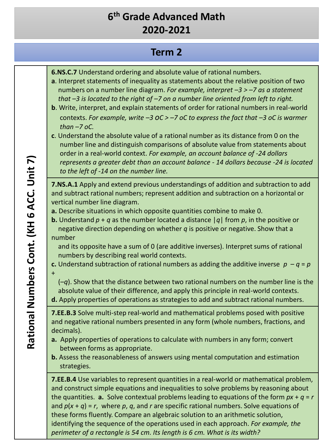#### **Term 2**

- **6.NS.C.7** Understand ordering and absolute value of rational numbers.
- **a**. Interpret statements of inequality as statements about the relative position of two numbers on a number line diagram. *For example, interpret –3 > –7 as a statement that –3 is located to the right of –7 on a number line oriented from left to right.*
- **b**. Write, interpret, and explain statements of order for rational numbers in real-world contexts. *For example, write –3 oC > –7 oC to express the fact that –3 oC is warmer than –7 oC.*
- **c**. Understand the absolute value of a rational number as its distance from 0 on the number line and distinguish comparisons of absolute value from statements about order in a real-world context. *For example, an account balance of -24 dollars represents a greater debt than an account balance - 14 dollars because -24 is located to the left of -14 on the number line.*

**7.NS.A.1** Apply and extend previous understandings of addition and subtraction to add and subtract rational numbers; represent addition and subtraction on a horizontal or vertical number line diagram.

- **a.** Describe situations in which opposite quantities combine to make 0.
- **b.** Understand  $p + q$  as the number located a distance  $|q|$  from p, in the positive or negative direction depending on whether *q* is positive or negative. Show that a number

and its opposite have a sum of 0 (are additive inverses). Interpret sums of rational numbers by describing real world contexts.

- **c.** Understand subtraction of rational numbers as adding the additive inverse  $p q = p$
- +

(–*q*). Show that the distance between two rational numbers on the number line is the absolute value of their difference, and apply this principle in real-world contexts.

**d.** Apply properties of operations as strategies to add and subtract rational numbers.

**7.EE.B.3** Solve multi-step real-world and mathematical problems posed with positive and negative rational numbers presented in any form (whole numbers, fractions, and decimals).

- **a.** Apply properties of operations to calculate with numbers in any form; convert between forms as appropriate.
- **b.** Assess the reasonableness of answers using mental computation and estimation strategies.

**7.EE.B.4** Use variables to represent quantities in a real-world or mathematical problem, and construct simple equations and inequalities to solve problems by reasoning about the quantities. **a.** Solve contextual problems leading to equations of the form *px* + *q* = *r*  and  $p(x + q) = r$ , where p, q, and r are specific rational numbers. Solve equations of these forms fluently. Compare an algebraic solution to an arithmetic solution, identifying the sequence of the operations used in each approach. *For example, the perimeter of a rectangle is 54 cm. Its length is 6 cm. What is its width?*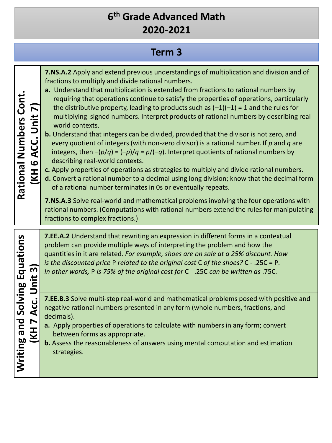# **Term 3**

| Rational Numbers Cont<br>ACC. Unit 7)<br>KH 6      | 7.NS.A.2 Apply and extend previous understandings of multiplication and division and of<br>fractions to multiply and divide rational numbers.<br>a. Understand that multiplication is extended from fractions to rational numbers by<br>requiring that operations continue to satisfy the properties of operations, particularly<br>the distributive property, leading to products such as $(-1)(-1) = 1$ and the rules for<br>multiplying signed numbers. Interpret products of rational numbers by describing real-<br>world contexts.<br>b. Understand that integers can be divided, provided that the divisor is not zero, and<br>every quotient of integers (with non-zero divisor) is a rational number. If $p$ and $q$ are<br>integers, then $-(p/q) = (-p)/q = p/(-q)$ . Interpret quotients of rational numbers by<br>describing real-world contexts.<br>c. Apply properties of operations as strategies to multiply and divide rational numbers.<br>d. Convert a rational number to a decimal using long division; know that the decimal form<br>of a rational number terminates in 0s or eventually repeats.<br>7.NS.A.3 Solve real-world and mathematical problems involving the four operations with<br>rational numbers. (Computations with rational numbers extend the rules for manipulating<br>fractions to complex fractions.) |
|----------------------------------------------------|--------------------------------------------------------------------------------------------------------------------------------------------------------------------------------------------------------------------------------------------------------------------------------------------------------------------------------------------------------------------------------------------------------------------------------------------------------------------------------------------------------------------------------------------------------------------------------------------------------------------------------------------------------------------------------------------------------------------------------------------------------------------------------------------------------------------------------------------------------------------------------------------------------------------------------------------------------------------------------------------------------------------------------------------------------------------------------------------------------------------------------------------------------------------------------------------------------------------------------------------------------------------------------------------------------------------------------------------------|
| Unit 3                                             | <b>7.EE.A.2</b> Understand that rewriting an expression in different forms in a contextual<br>problem can provide multiple ways of interpreting the problem and how the<br>quantities in it are related. For example, shoes are on sale at a 25% discount. How<br>is the discounted price P related to the original cost C of the shoes? $C - 0.25C = P$ .<br>In other words, P is 75% of the original cost for C - .25C can be written as .75C.                                                                                                                                                                                                                                                                                                                                                                                                                                                                                                                                                                                                                                                                                                                                                                                                                                                                                                 |
| Writing and Solving Equations<br><b>IKH 7 Acc.</b> | 7.EE.B.3 Solve multi-step real-world and mathematical problems posed with positive and<br>negative rational numbers presented in any form (whole numbers, fractions, and<br>decimals).<br>a. Apply properties of operations to calculate with numbers in any form; convert<br>between forms as appropriate.<br>b. Assess the reasonableness of answers using mental computation and estimation<br>strategies.                                                                                                                                                                                                                                                                                                                                                                                                                                                                                                                                                                                                                                                                                                                                                                                                                                                                                                                                    |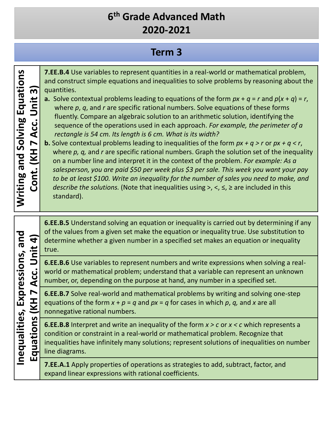# **Term 3**

**Writing and Solving Equations 7.EE.B.4** Use variables to represent quantities in a real-world or mathematical problem, Writing and Solving Equations and construct simple equations and inequalities to solve problems by reasoning about the **Cont. (KH 7 Acc. Unit 3)**  $\overline{\mathsf{S}}$ quantities. Cont. (KH 7 Acc. Unit **a.** Solve contextual problems leading to equations of the form  $px + q = r$  and  $p(x + q) = r$ , where *p*, *q*, and *r* are specific rational numbers. Solve equations of these forms fluently. Compare an algebraic solution to an arithmetic solution, identifying the sequence of the operations used in each approach. *For example, the perimeter of a rectangle is 54 cm. Its length is 6 cm. What is its width?* **b.** Solve contextual problems leading to inequalities of the form *px + q > r* or *px + q < r*, where *p, q,* and *r* are specific rational numbers. Graph the solution set of the inequality on a number line and interpret it in the context of the problem. *For example: As a salesperson, you are paid \$50 per week plus \$3 per sale. This week you want your pay to be at least \$100. Write an inequality for the number of sales you need to make, and describe the solutions.* (Note that inequalities using >, <, ≤, ≥ are included in this standard). **6.EE.B.5** Understand solving an equation or inequality is carried out by determining if any **Inequalities, Expressions, and**  of the values from a given set make the equation or inequality true. Use substitution to Inequalities, Expressions, and **Equations (KH 7 Acc. Unit 4)** Equations (KH 7 Acc. Unit 4) determine whether a given number in a specified set makes an equation or inequality true. **6.EE.B.6** Use variables to represent numbers and write expressions when solving a realworld or mathematical problem; understand that a variable can represent an unknown number, or, depending on the purpose at hand, any number in a specified set. **6.EE.B.7** Solve real-world and mathematical problems by writing and solving one-step equations of the form  $x + p = q$  and  $px = q$  for cases in which p, q, and x are all nonnegative rational numbers. **6.EE.B.8** Interpret and write an inequality of the form *x > c* or *x < c* which represents a condition or constraint in a real-world or mathematical problem. Recognize that inequalities have infinitely many solutions; represent solutions of inequalities on number line diagrams. **7.EE.A.1** Apply properties of operations as strategies to add, subtract, factor, and expand linear expressions with rational coefficients.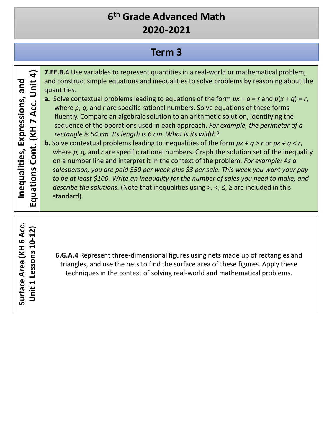# **Term 3**

| $\mathbf{f}$<br><b>Unit</b><br>and<br>Inequalities, Expressions,<br>Acc.<br>Cont. (KH 7<br>Equations | 7.EE.B.4 Use variables to represent quantities in a real-world or mathematical problem,<br>and construct simple equations and inequalities to solve problems by reasoning about the<br>quantities.<br>a. Solve contextual problems leading to equations of the form $px + q = r$ and $p(x + q) = r$ ,<br>where $p$ , $q$ , and $r$ are specific rational numbers. Solve equations of these forms<br>fluently. Compare an algebraic solution to an arithmetic solution, identifying the<br>sequence of the operations used in each approach. For example, the perimeter of a<br>rectangle is 54 cm. Its length is 6 cm. What is its width?<br><b>b.</b> Solve contextual problems leading to inequalities of the form $px + q > r$ or $px + q < r$ ,<br>where $p$ , $q$ , and $r$ are specific rational numbers. Graph the solution set of the inequality<br>on a number line and interpret it in the context of the problem. For example: As a<br>salesperson, you are paid \$50 per week plus \$3 per sale. This week you want your pay<br>to be at least \$100. Write an inequality for the number of sales you need to make, and<br><i>describe the solutions.</i> (Note that inequalities using $>$ , $\leq$ , $\leq$ , $\geq$ are included in this<br>standard). |
|------------------------------------------------------------------------------------------------------|-----------------------------------------------------------------------------------------------------------------------------------------------------------------------------------------------------------------------------------------------------------------------------------------------------------------------------------------------------------------------------------------------------------------------------------------------------------------------------------------------------------------------------------------------------------------------------------------------------------------------------------------------------------------------------------------------------------------------------------------------------------------------------------------------------------------------------------------------------------------------------------------------------------------------------------------------------------------------------------------------------------------------------------------------------------------------------------------------------------------------------------------------------------------------------------------------------------------------------------------------------------------------|
| ن<br>ح<br>Lessons 10-12)<br>Surface Area (KH 6<br>Unit 1                                             | 6.G.A.4 Represent three-dimensional figures using nets made up of rectangles and<br>triangles, and use the nets to find the surface area of these figures. Apply these<br>techniques in the context of solving real-world and mathematical problems.                                                                                                                                                                                                                                                                                                                                                                                                                                                                                                                                                                                                                                                                                                                                                                                                                                                                                                                                                                                                                  |